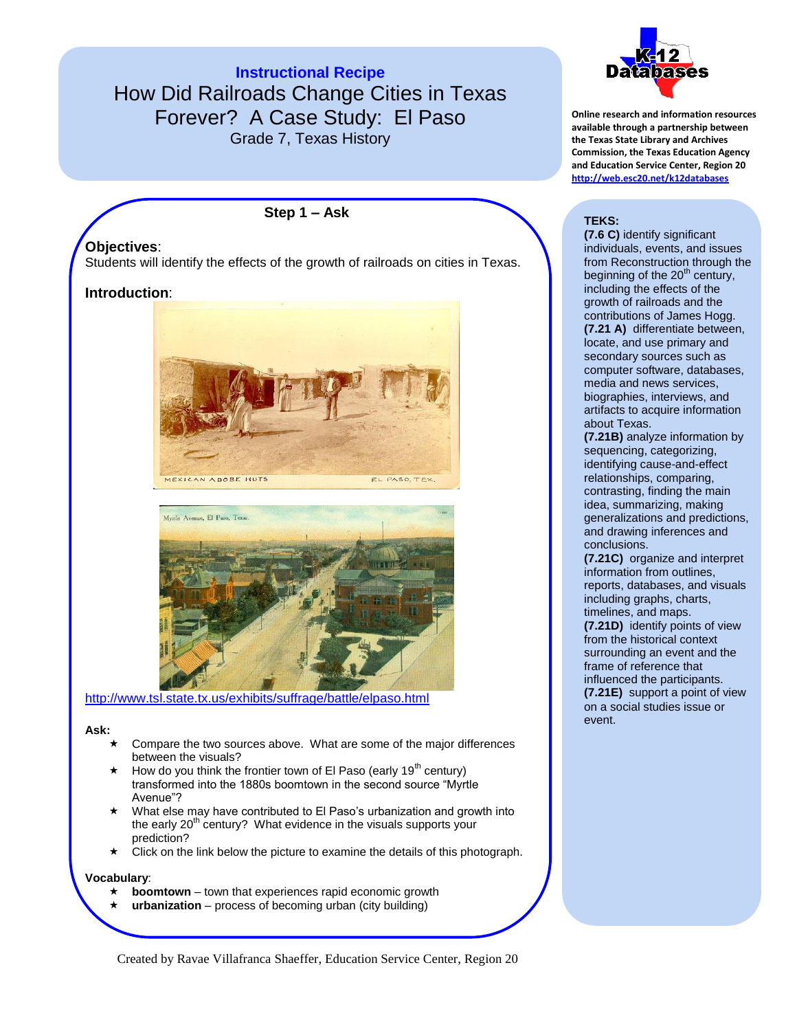**Instructional Recipe** How Did Railroads Change Cities in Texas Forever? A Case Study: El Paso Grade 7, Texas History

**Step 1 – Ask**

## **Objectives**:

Students will identify the effects of the growth of railroads on cities in Texas.

## **Introduction**:





<http://www.tsl.state.tx.us/exhibits/suffrage/battle/elpaso.html>

#### **Ask:**

- Compare the two sources above. What are some of the major differences between the visuals?
- How do you think the frontier town of El Paso (early  $19<sup>th</sup>$  century) transformed into the 1880s boomtown in the second source "Myrtle Avenue"?
- What else may have contributed to El Paso's urbanization and growth into the early  $20<sup>th</sup>$  century? What evidence in the visuals supports your prediction?
- Click on the link below the picture to examine the details of this photograph.

#### **Vocabulary**:

- **boomtown** town that experiences rapid economic growth
- **urbanization** process of becoming urban (city building)



**Online research and information resources available through a partnership between the Texas State Library and Archives Commission, the Texas Education Agency and Education Service Center, Region 20 <http://web.esc20.net/k12databases>**

### **TEKS:**

**(7.6 C)** identify significant individuals, events, and issues from Reconstruction through the beginning of the 20<sup>th</sup> century, including the effects of the growth of railroads and the contributions of James Hogg. **(7.21 A)** differentiate between, locate, and use primary and secondary sources such as computer software, databases, media and news services, biographies, interviews, and artifacts to acquire information about Texas.

**(7.21B)** analyze information by sequencing, categorizing, identifying cause-and-effect relationships, comparing, contrasting, finding the main idea, summarizing, making generalizations and predictions, and drawing inferences and conclusions.

**(7.21C)** organize and interpret information from outlines, reports, databases, and visuals including graphs, charts, timelines, and maps.

**(7.21D)** identify points of view from the historical context surrounding an event and the frame of reference that influenced the participants. **(7.21E)** support a point of view on a social studies issue or event.

Created by Ravae Villafranca Shaeffer, Education Service Center, Region 20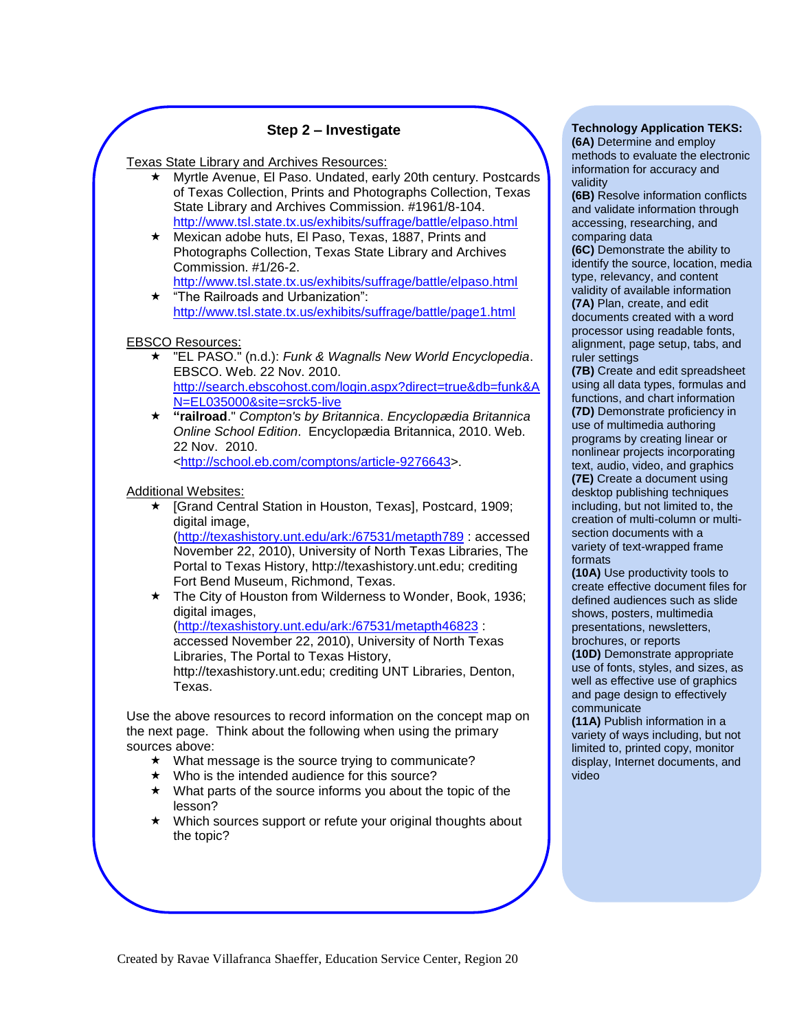## **Step 2 – Investigate**

Texas State Library and Archives Resources:

- Myrtle Avenue, El Paso. Undated, early 20th century. Postcards of Texas Collection, Prints and Photographs Collection, Texas State Library and Archives Commission. #1961/8-104. <http://www.tsl.state.tx.us/exhibits/suffrage/battle/elpaso.html>
- Mexican adobe huts, El Paso, Texas, 1887, Prints and Photographs Collection, Texas State Library and Archives Commission. #1/26-2.

<http://www.tsl.state.tx.us/exhibits/suffrage/battle/elpaso.html>  $\star$  "The Railroads and Urbanization":

<http://www.tsl.state.tx.us/exhibits/suffrage/battle/page1.html>

#### EBSCO Resources:

- "EL PASO." (n.d.): *Funk & Wagnalls New World Encyclopedia*. EBSCO. Web. 22 Nov. 2010. [http://search.ebscohost.com/login.aspx?direct=true&db=funk&A](http://search.ebscohost.com/login.aspx?direct=true&db=funk&AN=EL035000&site=srck5-live) [N=EL035000&site=srck5-live](http://search.ebscohost.com/login.aspx?direct=true&db=funk&AN=EL035000&site=srck5-live)
- **"railroad**." *Compton's by Britannica*. *Encyclopædia Britannica Online School Edition*. Encyclopædia Britannica, 2010. Web. 22 Nov. 2010.

[<http://school.eb.com/comptons/article-9276643>](http://school.eb.com/comptons/article-9276643).

Additional Websites:

- [Grand Central Station in Houston, Texas], Postcard, 1909; digital image, [\(http://texashistory.unt.edu/ark:/67531/metapth789](http://texashistory.unt.edu/ark:/67531/metapth789) : accessed November 22, 2010), University of North Texas Libraries, The Portal to Texas History, http://texashistory.unt.edu; crediting Fort Bend Museum, Richmond, Texas.
- ★ The City of Houston from Wilderness to Wonder, Book, 1936; digital images. [\(http://texashistory.unt.edu/ark:/67531/metapth46823](http://texashistory.unt.edu/ark:/67531/metapth46823) : accessed November 22, 2010), University of North Texas Libraries, The Portal to Texas History, http://texashistory.unt.edu; crediting UNT Libraries, Denton, Texas.

Use the above resources to record information on the concept map on the next page. Think about the following when using the primary sources above:

- $\star$  What message is the source trying to communicate?
- $\star$  Who is the intended audience for this source?
- $\star$  What parts of the source informs you about the topic of the lesson?
- Which sources support or refute your original thoughts about the topic?

#### **Technology Application TEKS: (6A)** Determine and employ

methods to evaluate the electronic information for accuracy and validity

**(6B)** Resolve information conflicts and validate information through accessing, researching, and comparing data

**(6C)** Demonstrate the ability to identify the source, location, media type, relevancy, and content validity of available information **(7A)** Plan, create, and edit documents created with a word processor using readable fonts, alignment, page setup, tabs, and ruler settings

**(7B)** Create and edit spreadsheet using all data types, formulas and functions, and chart information **(7D)** Demonstrate proficiency in use of multimedia authoring programs by creating linear or nonlinear projects incorporating text, audio, video, and graphics **(7E)** Create a document using desktop publishing techniques including, but not limited to, the creation of multi-column or multisection documents with a variety of text-wrapped frame formats

**(10A)** Use productivity tools to create effective document files for defined audiences such as slide shows, posters, multimedia presentations, newsletters, brochures, or reports

**(10D)** Demonstrate appropriate use of fonts, styles, and sizes, as well as effective use of graphics and page design to effectively communicate

**(11A)** Publish information in a variety of ways including, but not limited to, printed copy, monitor display, Internet documents, and video

Created by Ravae Villafranca Shaeffer, Education Service Center, Region 20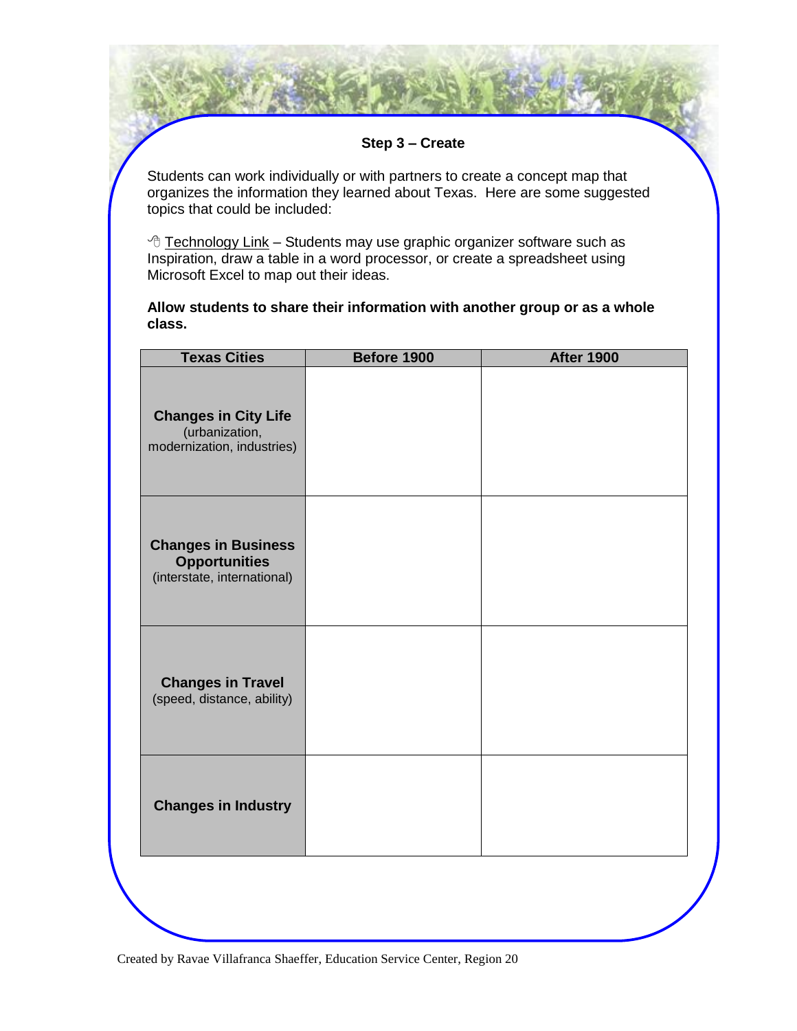**Step 3 – Create**

Students can work individually or with partners to create a concept map that organizes the information they learned about Texas. Here are some suggested topics that could be included:

 $\sqrt{2}$  Technology Link – Students may use graphic organizer software such as Inspiration, draw a table in a word processor, or create a spreadsheet using Microsoft Excel to map out their ideas.

**Allow students to share their information with another group or as a whole class.**

| <b>Texas Cities</b>                                                               | Before 1900 | <b>After 1900</b> |
|-----------------------------------------------------------------------------------|-------------|-------------------|
| <b>Changes in City Life</b><br>(urbanization,<br>modernization, industries)       |             |                   |
| <b>Changes in Business</b><br><b>Opportunities</b><br>(interstate, international) |             |                   |
| <b>Changes in Travel</b><br>(speed, distance, ability)                            |             |                   |
| <b>Changes in Industry</b>                                                        |             |                   |
|                                                                                   |             |                   |

Created by Ravae Villafranca Shaeffer, Education Service Center, Region 20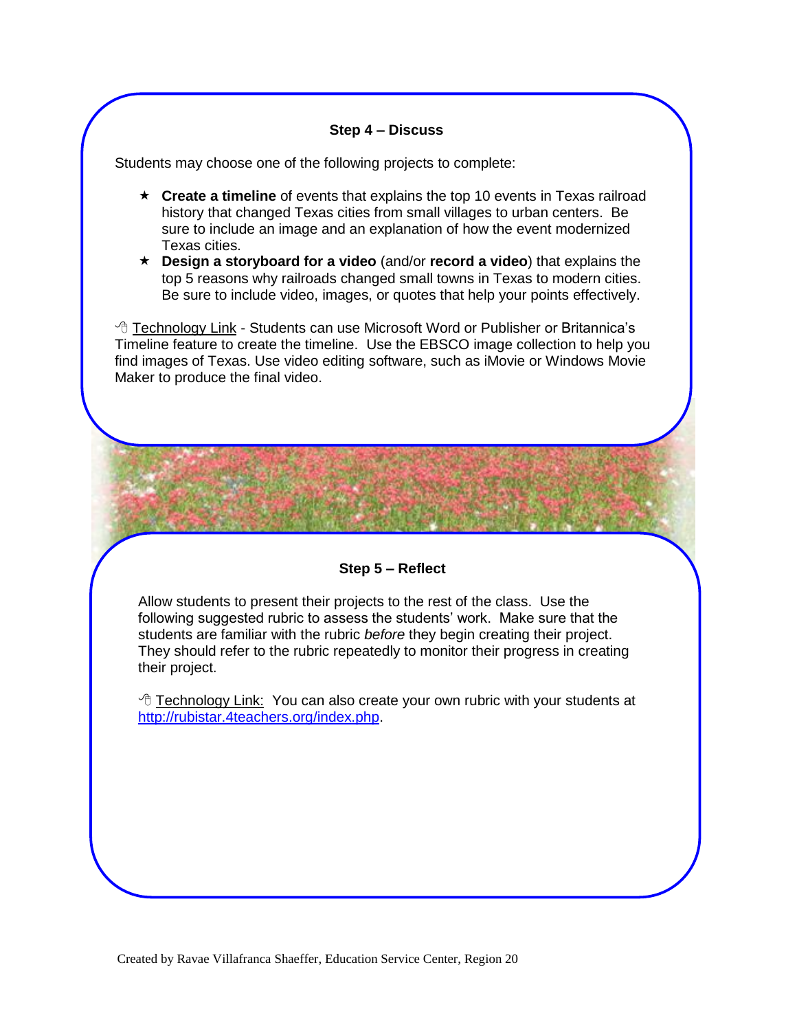## **Step 4 – Discuss**

Students may choose one of the following projects to complete:

- **Create a timeline** of events that explains the top 10 events in Texas railroad history that changed Texas cities from small villages to urban centers. Be sure to include an image and an explanation of how the event modernized Texas cities.
- **Design a storyboard for a video** (and/or **record a video**) that explains the top 5 reasons why railroads changed small towns in Texas to modern cities. Be sure to include video, images, or quotes that help your points effectively.

 Technology Link - Students can use Microsoft Word or Publisher or Britannica's Timeline feature to create the timeline. Use the EBSCO image collection to help you find images of Texas. Use video editing software, such as iMovie or Windows Movie Maker to produce the final video.

## **Step 5 – Reflect**

Allow students to present their projects to the rest of the class. Use the following suggested rubric to assess the students' work. Make sure that the students are familiar with the rubric *before* they begin creating their project. They should refer to the rubric repeatedly to monitor their progress in creating their project.

<sup>th</sup> Technology Link: You can also create your own rubric with your students at [http://rubistar.4teachers.org/index.php.](http://rubistar.4teachers.org/index.php)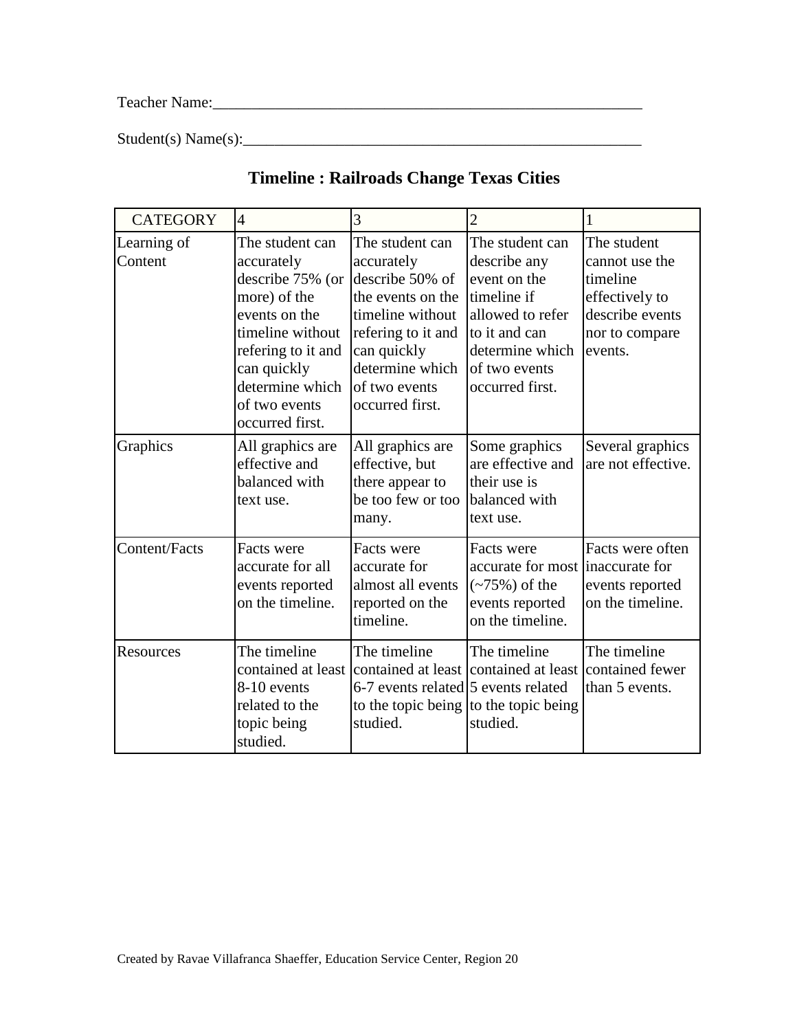Teacher Name:\_\_\_\_\_\_\_\_\_\_\_\_\_\_\_\_\_\_\_\_\_\_\_\_\_\_\_\_\_\_\_\_\_\_\_\_\_\_\_\_\_\_\_\_\_\_\_\_\_\_\_\_\_\_\_

 $Student(s) Name(s):$ 

| <b>CATEGORY</b>        | $\overline{4}$                                                                                                                                                                                     | 3                                                                                                                                                                                     | $\overline{2}$                                                                                                                                             | $\mathbf{1}$                                                                                                |
|------------------------|----------------------------------------------------------------------------------------------------------------------------------------------------------------------------------------------------|---------------------------------------------------------------------------------------------------------------------------------------------------------------------------------------|------------------------------------------------------------------------------------------------------------------------------------------------------------|-------------------------------------------------------------------------------------------------------------|
| Learning of<br>Content | The student can<br>accurately<br>describe 75% (or<br>more) of the<br>events on the<br>timeline without<br>refering to it and<br>can quickly<br>determine which<br>of two events<br>occurred first. | The student can<br>accurately<br>describe 50% of<br>the events on the<br>timeline without<br>refering to it and<br>can quickly<br>determine which<br>of two events<br>occurred first. | The student can<br>describe any<br>event on the<br>timeline if<br>allowed to refer<br>to it and can<br>determine which<br>of two events<br>occurred first. | The student<br>cannot use the<br>timeline<br>effectively to<br>describe events<br>nor to compare<br>events. |
| Graphics               | All graphics are<br>effective and<br>balanced with<br>text use.                                                                                                                                    | All graphics are<br>effective, but<br>there appear to<br>be too few or too<br>many.                                                                                                   | Some graphics<br>are effective and<br>their use is<br>balanced with<br>text use.                                                                           | Several graphics<br>are not effective.                                                                      |
| <b>Content/Facts</b>   | Facts were<br>accurate for all<br>events reported<br>on the timeline.                                                                                                                              | Facts were<br>accurate for<br>almost all events<br>reported on the<br>timeline.                                                                                                       | Facts were<br>accurate for most<br>$(-75%)$ of the<br>events reported<br>on the timeline.                                                                  | Facts were often<br>inaccurate for<br>events reported<br>on the timeline.                                   |
| Resources              | The timeline<br>8-10 events<br>related to the<br>topic being<br>studied.                                                                                                                           | The timeline<br>contained at least contained at least contained at least<br>6-7 events related 5 events related<br>to the topic being to the topic being<br>studied.                  | The timeline<br>studied.                                                                                                                                   | The timeline<br>contained fewer<br>than 5 events.                                                           |

# **Timeline : Railroads Change Texas Cities**